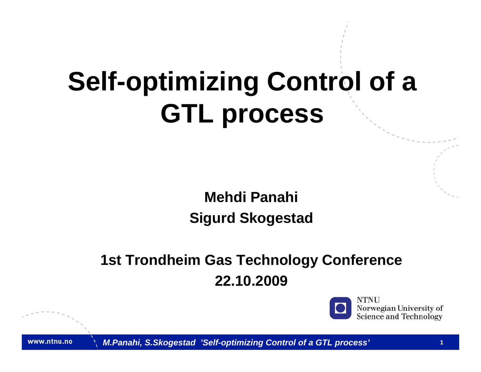# **Self-optimizing Control of a GTL process**

#### **Mehdi Panahi Sigurd Skogestad**

#### **1st Trondheim Gas Technology Conference 22.10.2009**



Norwegian University of **Science and Technology**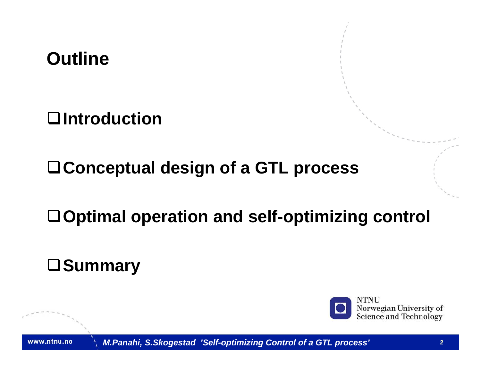**Outline**

**Introduction**

**Conceptual design of a GTL process**

**Optimal operation and self-optimizing control**

**Summary**

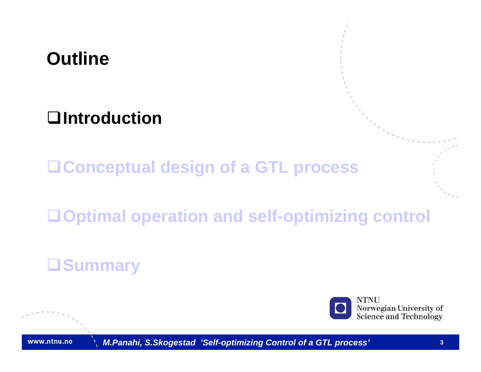## **Outline**

#### **Introduction**

**Conceptual design of a GTL process**

**Optimal operation and self-optimizing control**

#### **Summary**



Norwegian University of Science and Technology

www.ntnu.no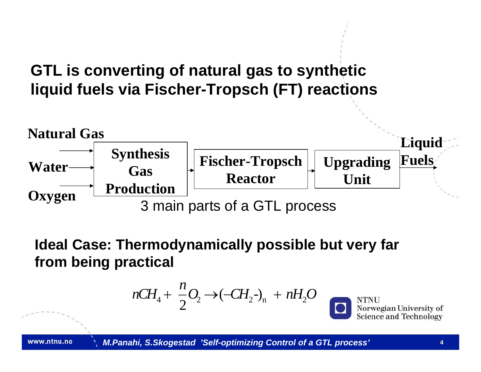#### **GTL is converting of natural gas to synthetic liquid fuels via Fischer-Tropsch (FT) reactions**



**Ideal Case: Thermodynamically possible but very far from being practical**

$$
nCH_4 + \frac{n}{2}O_2 \rightarrow (-CH_2-)_n + nH_2O
$$

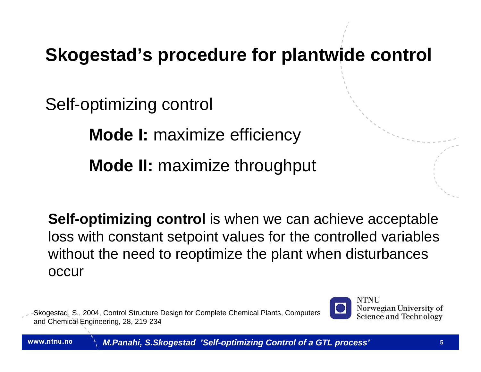#### **Skogestad's procedure for plantwide control**

Self-optimizing control

**Mode I:** maximize efficiency **Mode II:** maximize throughput

**Self-optimizing control** is when we can achieve acceptable loss with constant setpoint values for the controlled variables without the need to reoptimize the plant when disturbances occur

Skogestad, S., 2004, Control Structure Design for Complete Chemical Plants, Computers and Chemical Engineering, 28, 219-234

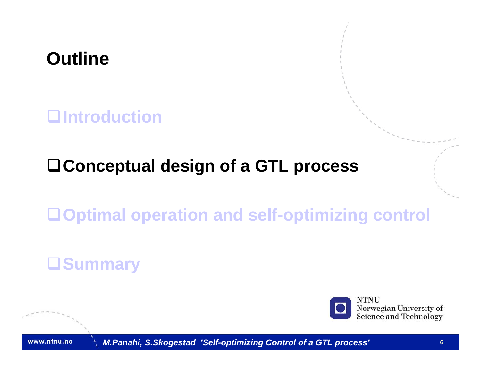

#### **Introduction**

#### **Conceptual design of a GTL process**

#### **Optimal operation and self-optimizing control**

#### **Summary**



Norwegian University of Science and Technology

www.ntnu.no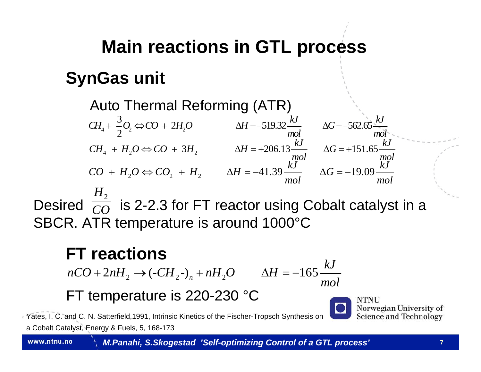## **Main reactions in GTL process SynGas unit**

Auto Thermal Reforming (ATR)  $\Delta H = -519.32 \frac{kJ}{mol}$   $\Delta G = -562.65$  $CH_4 + \frac{3}{2}O_2 \Leftrightarrow CO + 2H_2O$   $\Delta H = -519.32\frac{kJ}{2}$   $\Delta G = -562.65\frac{kJ}{2}$ *mol mol*  $+ -0 \Leftrightarrow CO + 2H_2O$   $\Delta H = -519.32 \frac{100}{100}$   $\Delta G = -1$ 4  $\cdots$   $\cdots$  2  $CH_4 + H_2O \Longleftrightarrow CO + 3H_2$   $\Delta H = +206.13 \frac{kJ}{mol}$   $\Delta G = +151.65 \frac{kJ}{mol}$  $CO + H_2O \Leftrightarrow CO_2 + H_2$   $\Delta H = -41.39 \frac{kJ}{mol}$   $\Delta G = -19.09 \frac{kJ}{mol}$ 

Desired  $\overline{co}\,$  is 2-2.3 for FT reactor using Cobalt catalyst in a SBCR. ATR temperature is around 1000°C  $H_{\scriptscriptstyle 2}$ *CO*

#### **FT reactions**

2  $\sim$   $\sim$   $2n_1$   $\sim$   $2n_2$  $nCO + 2nH_2 \rightarrow (-CH_2^-)_n + nH_2O \qquad \Delta H = -165 \frac{kJ}{mol}$ 

#### FT temperature is 220-230 °C

Yates, I. C. and C. N. Satterfield,1991, Intrinsic Kinetics of the Fischer-Tropsch Synthesis on

a Cobalt Catalyst, Energy & Fuels, 5, 168-173

*M.Panahi, S.Skogestad 'Self-optimizing Control of a GTL process'* **<sup>7</sup>**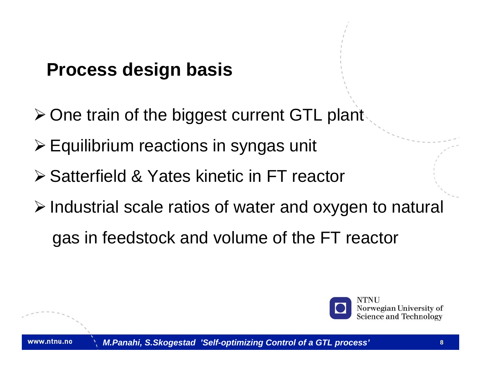#### **Process design basis**

- ¾ One train of the biggest current GTL plant
- ¾ Equilibrium reactions in syngas unit
- ¾ Satterfield & Yates kinetic in FT reactor
- ¾ Industrial scale ratios of water and oxygen to natural
	- gas in feedstock and volume of the FT reactor

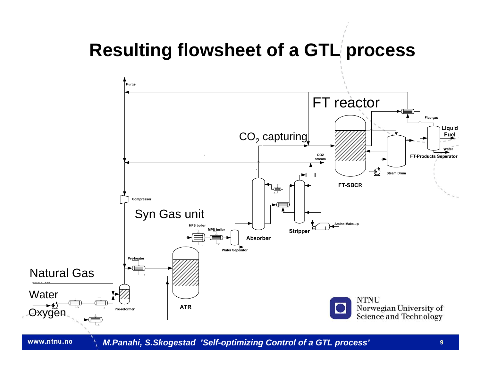#### **Resulting flowsheet of a GTL process**

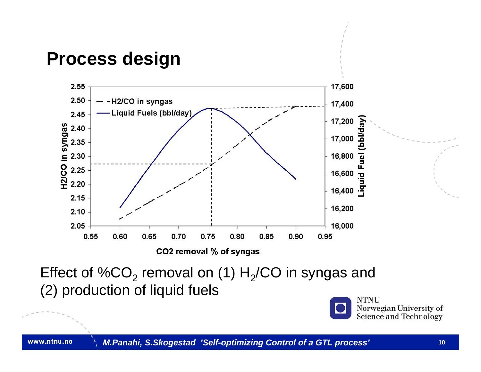



Effect of %CO $_{\rm 2}$  removal on (1) H $_{\rm 2}$ /CO in syngas and (2) production of liquid fuels

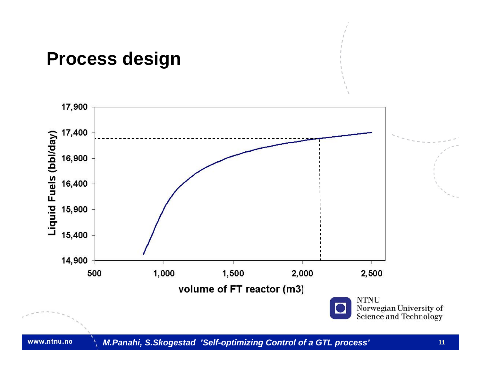#### **Process design**

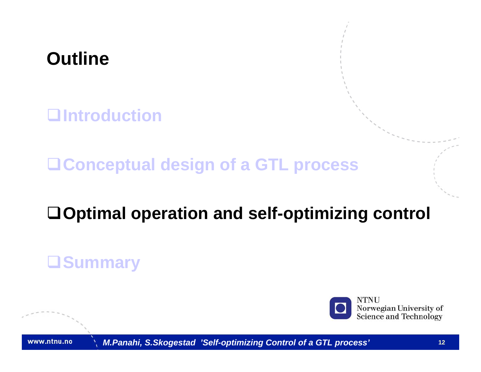

**Introduction**

**Conceptual design of a GTL process**

#### **Optimal operation and self-optimizing control**

#### **Summary**



Norwegian University of Science and Technology

www.ntnu.no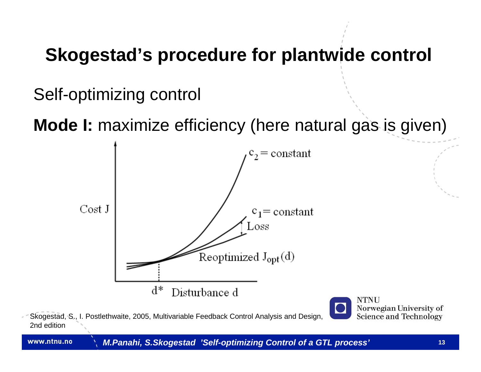## **Skogestad's procedure for plantwide control**

Self-optimizing control

**Mode I:** maximize efficiency (here natural gas is given)



Skogestad, S., I. Postlethwaite, 2005, Multivariable Feedback Control Analysis and Design, 2nd edition

Norwegian University of **Science and Technology** 

www.ntnu.no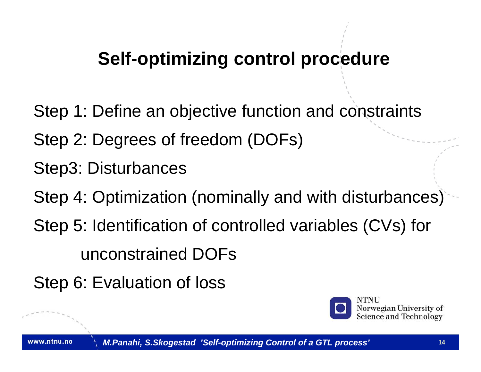## **Self-optimizing control procedure**

- Step 1: Define an objective function and constraints
- Step 2: Degrees of freedom (DOFs)
- Step3: Disturbances
- Step 4: Optimization (nominally and with disturbances)
- Step 5: Identification of controlled variables (CVs) for unconstrained DOFs
- Step 6: Evaluation of loss

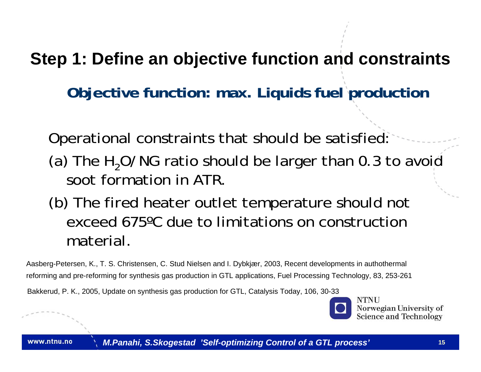**Step 1: Define an objective function and constraints**

**Objective function: max. Liquids fuel production**

Operational constraints that should be satisfied: (a) The  $H<sub>2</sub>O/NG$  ratio should be larger than 0.3 to avoid soot formation in ATR.

(b) The fired heater outlet temperature should not exceed 675ºC due to limitations on construction material.

Aasberg-Petersen, K., T. S. Christensen, C. Stud Nielsen and I. Dybkjær, 2003, Recent developments in authothermal reforming and pre-reforming for synthesis gas production in GTL applications, Fuel Processing Technology, 83, 253-261

Bakkerud, P. K., 2005, Update on synthesis gas production for GTL, Catalysis Today, 106, 30-33

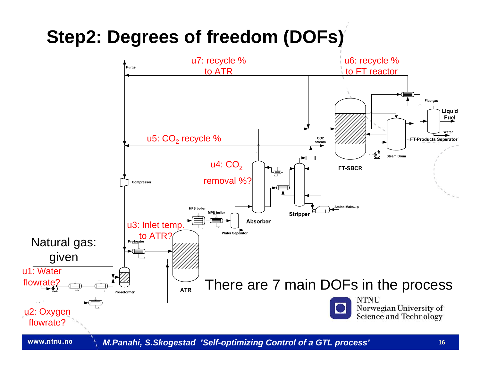#### **Step2: Degrees of freedom (DOFs)**

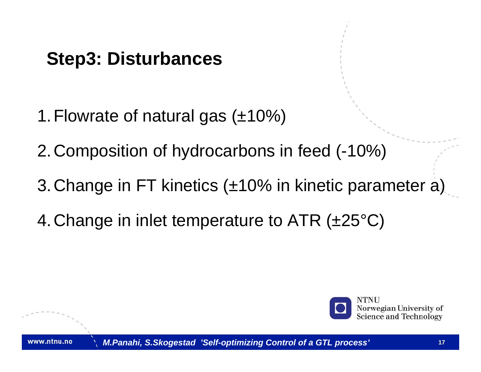## **Step3: Disturbances**

- 1. Flowrate of natural gas  $(\pm 10\%)$
- 2.Composition of hydrocarbons in feed (-10%)
- 3.Change in FT kinetics (±10% in kinetic parameter a)
- 4.Change in inlet temperature to ATR (±25°C)

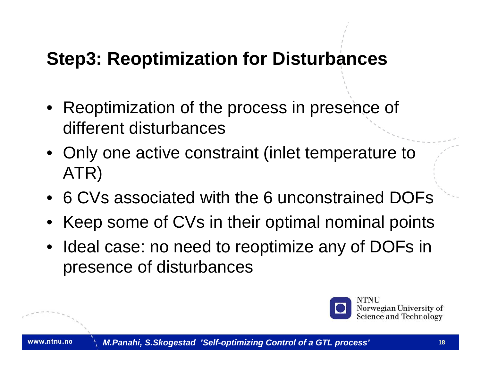#### **Step3: Reoptimization for Disturbances**

- Reoptimization of the process in presence of different disturbances
- Only one active constraint (inlet temperature to ATR)
- 6 CVs associated with the 6 unconstrained DOFs
- Keep some of CVs in their optimal nominal points
- Ideal case: no need to reoptimize any of DOFs in presence of disturbances

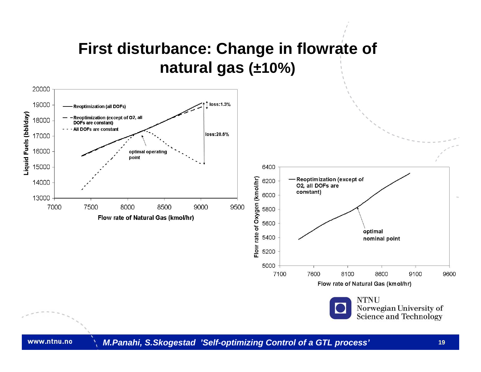#### **First disturbance: Change in flowrate of natural gas (±10%)**





9600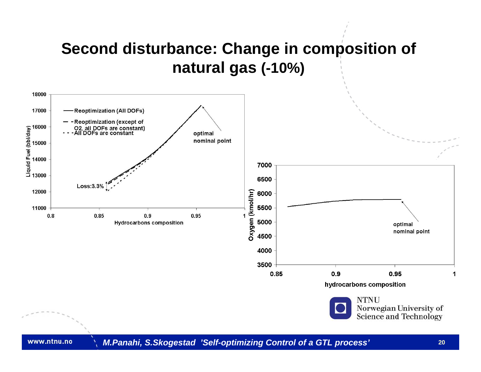#### **Second disturbance: Change in composition of natural gas (-10%)**

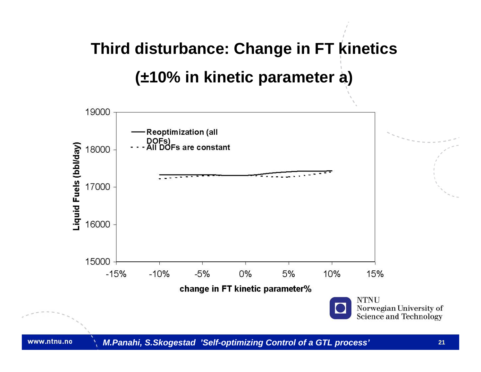## **Third disturbance: Change in FT kinetics (±10% in kinetic parameter a)**

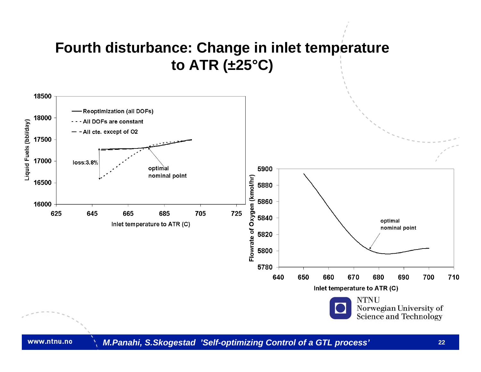#### **Fourth disturbance: Change in inlet temperature to ATR (±25°C)**

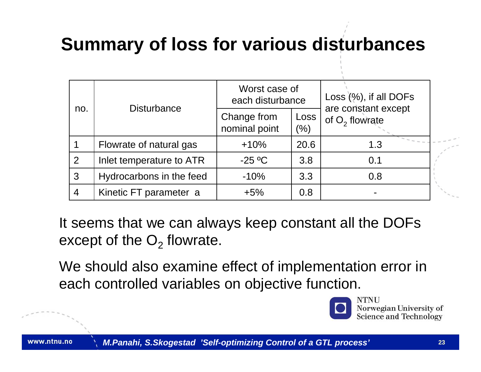## **Summary of loss for various disturbances**

| no.            | <b>Disturbance</b>       | Worst case of<br>each disturbance |             | Loss (%), if all DOFs                   |
|----------------|--------------------------|-----------------------------------|-------------|-----------------------------------------|
|                |                          | Change from<br>nominal point      | Loss<br>(%) | are constant except<br>of $O2$ flowrate |
|                | Flowrate of natural gas  | $+10%$                            | 20.6        | 1.3                                     |
| 2              | Inlet temperature to ATR | $-25$ °C                          | 3.8         | 0.1                                     |
| 3              | Hydrocarbons in the feed | $-10%$                            | 3.3         | 0.8                                     |
| $\overline{4}$ | Kinetic FT parameter a   | $+5%$                             | 0.8         |                                         |

It seems that we can always keep constant all the DOFs except of the  $\mathrm{O}_2$  flowrate.

We should also examine effect of implementation error in each controlled variables on objective function.

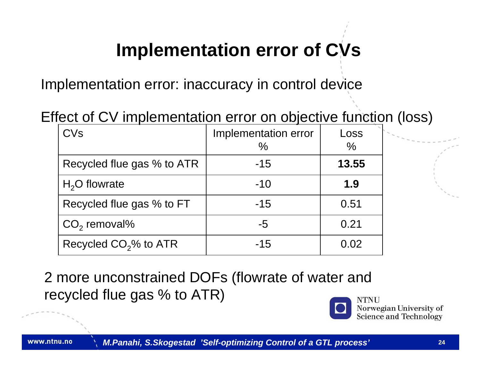## **Implementation error of CVs**

Implementation error: inaccuracy in control device

#### Effect of CV implementation error on objective function (loss)

| CVs                               | Implementation error<br>$\frac{0}{0}$ | Loss<br>$\frac{0}{0}$ |
|-----------------------------------|---------------------------------------|-----------------------|
| Recycled flue gas % to ATR        | $-15$                                 | 13.55                 |
| $H2O$ flowrate                    | $-10$                                 | 1.9                   |
| Recycled flue gas % to FT         | $-15$                                 | 0.51                  |
| $CO2$ removal%                    | -5                                    | 0.21                  |
| Recycled CO <sub>2</sub> % to ATR | $-15$                                 | 0.02                  |

2 more unconstrained DOFs (flowrate of water and recycled flue gas % to ATR)

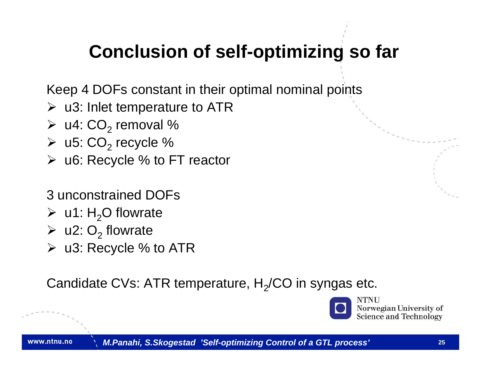## **Conclusion of self-optimizing so far**

Keep 4 DOFs constant in their optimal nominal points

- $\triangleright$  u3: Inlet temperature to ATR
- $\triangleright$  u4:  $CO<sub>2</sub>$  removal %
- $\triangleright$  u5:  $CO_2$  recycle %
- ¾ u6: Recycle % to FT reactor
- 3 unconstrained DOFs
- $\triangleright$  u1: H<sub>2</sub>O flowrate
- $\triangleright$  u2: O<sub>2</sub> flowrate
- $\triangleright$  u3: Recycle % to ATR

Candidate CVs: ATR temperature,  $\mathsf{H}_{2}/$ CO in syngas etc.

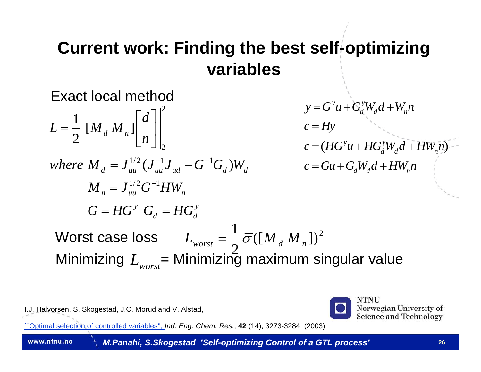#### **Current work: Finding the best self-optimizing variables**

Exact local method

$$
L = \frac{1}{2} \left\| \left[ M_d M_n \right] \right\|_{2}^{2}
$$
  
\n
$$
V = G^y u + G_d^y W_d d + W_n n
$$
  
\n
$$
c = Hy
$$
  
\n
$$
c = (HG^y u + HG_d^y W_d d + HW_n n)
$$
  
\nwhere  $M_d = J_{uu}^{1/2} (J_{uu}^{-1} J_{ud} - G^{-1} G_d) W_d$   
\n
$$
M_n = J_{uu}^{1/2} G^{-1} HW_n
$$
  
\n
$$
G = HG^y G_d = HG_d^y
$$
  
\nWorst case loss  
\n
$$
L_{worst} = \frac{1}{2} \overline{\sigma} ([M_d M_n])^2
$$
  
\nMinimizing  $L_{worst} = \text{Minimizing maximum singular value}$ 

I.J. Halvorsen, S. Skogestad, J.C. Morud and V. Alstad,



Norwegian University of **Science and Technology** 

[``Optimal selection of controlled variables'',](http://www.nt.ntnu.no/users/skoge/publications/2003/self2) *Ind. Eng. Chem. Res.*, **42** (14), 3273-3284 (2003)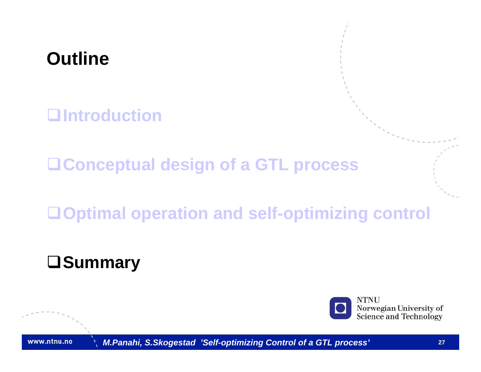## **Outline**

**Introduction**

**Conceptual design of a GTL process**

**Optimal operation and self-optimizing control**

## **Summary**



Norwegian University of Science and Technology

www.ntnu.no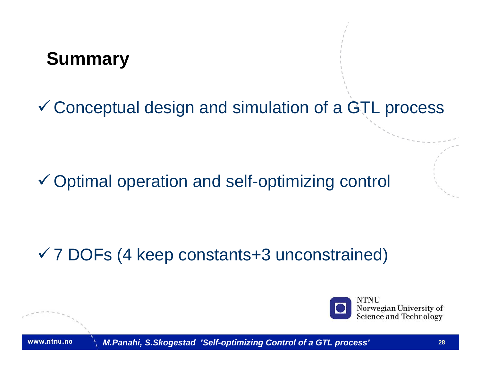## **Summary**

 $\checkmark$  Conceptual design and simulation of a GTL process

#### $\checkmark$  Optimal operation and self-optimizing control

## 9 7 DOFs (4 keep constants+3 unconstrained)



Norwegian University of **Science and Technology** 

www.ntnu.no